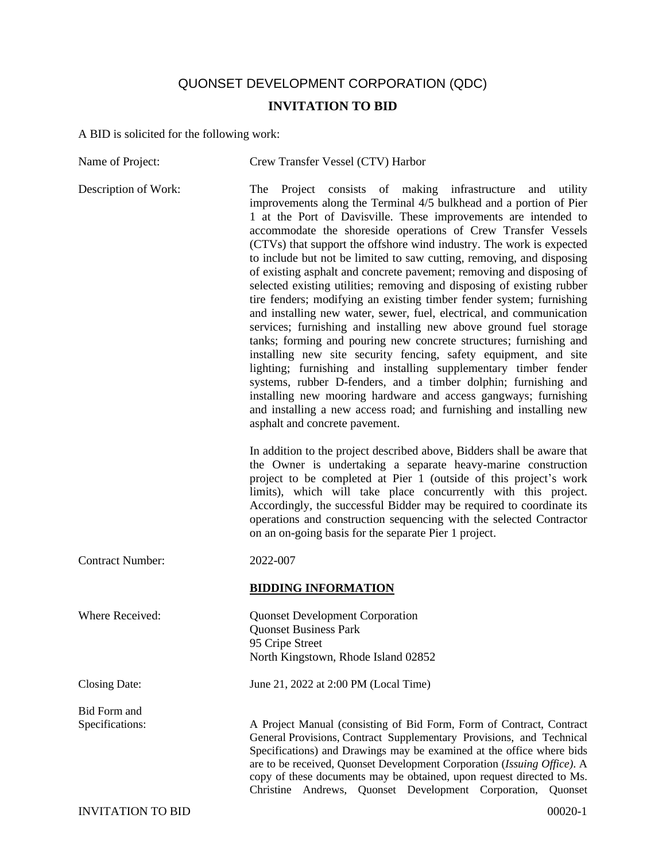## QUONSET DEVELOPMENT CORPORATION (QDC)

## **INVITATION TO BID**

A BID is solicited for the following work:

| Name of Project:                       | Crew Transfer Vessel (CTV) Harbor                                                                                                                                                                                                                                                                                                                                                                                                                                                                                                                                                                                                                                                                                                                                                                                                                                                                                                                                                                                                                                                                                                                                                                                                                                                                                                                                                                                                                                                                                                                                                                                                                                                                                                                     |
|----------------------------------------|-------------------------------------------------------------------------------------------------------------------------------------------------------------------------------------------------------------------------------------------------------------------------------------------------------------------------------------------------------------------------------------------------------------------------------------------------------------------------------------------------------------------------------------------------------------------------------------------------------------------------------------------------------------------------------------------------------------------------------------------------------------------------------------------------------------------------------------------------------------------------------------------------------------------------------------------------------------------------------------------------------------------------------------------------------------------------------------------------------------------------------------------------------------------------------------------------------------------------------------------------------------------------------------------------------------------------------------------------------------------------------------------------------------------------------------------------------------------------------------------------------------------------------------------------------------------------------------------------------------------------------------------------------------------------------------------------------------------------------------------------------|
| Description of Work:                   | The Project consists of making infrastructure<br>and utility<br>improvements along the Terminal 4/5 bulkhead and a portion of Pier<br>1 at the Port of Davisville. These improvements are intended to<br>accommodate the shoreside operations of Crew Transfer Vessels<br>(CTVs) that support the offshore wind industry. The work is expected<br>to include but not be limited to saw cutting, removing, and disposing<br>of existing asphalt and concrete pavement; removing and disposing of<br>selected existing utilities; removing and disposing of existing rubber<br>tire fenders; modifying an existing timber fender system; furnishing<br>and installing new water, sewer, fuel, electrical, and communication<br>services; furnishing and installing new above ground fuel storage<br>tanks; forming and pouring new concrete structures; furnishing and<br>installing new site security fencing, safety equipment, and site<br>lighting; furnishing and installing supplementary timber fender<br>systems, rubber D-fenders, and a timber dolphin; furnishing and<br>installing new mooring hardware and access gangways; furnishing<br>and installing a new access road; and furnishing and installing new<br>asphalt and concrete pavement.<br>In addition to the project described above, Bidders shall be aware that<br>the Owner is undertaking a separate heavy-marine construction<br>project to be completed at Pier 1 (outside of this project's work<br>limits), which will take place concurrently with this project.<br>Accordingly, the successful Bidder may be required to coordinate its<br>operations and construction sequencing with the selected Contractor<br>on an on-going basis for the separate Pier 1 project. |
| <b>Contract Number:</b>                | 2022-007                                                                                                                                                                                                                                                                                                                                                                                                                                                                                                                                                                                                                                                                                                                                                                                                                                                                                                                                                                                                                                                                                                                                                                                                                                                                                                                                                                                                                                                                                                                                                                                                                                                                                                                                              |
|                                        | <b>BIDDING INFORMATION</b>                                                                                                                                                                                                                                                                                                                                                                                                                                                                                                                                                                                                                                                                                                                                                                                                                                                                                                                                                                                                                                                                                                                                                                                                                                                                                                                                                                                                                                                                                                                                                                                                                                                                                                                            |
| Where Received:                        | <b>Quonset Development Corporation</b><br><b>Quonset Business Park</b><br>95 Cripe Street<br>North Kingstown, Rhode Island 02852                                                                                                                                                                                                                                                                                                                                                                                                                                                                                                                                                                                                                                                                                                                                                                                                                                                                                                                                                                                                                                                                                                                                                                                                                                                                                                                                                                                                                                                                                                                                                                                                                      |
| Closing Date:                          | June 21, 2022 at 2:00 PM (Local Time)                                                                                                                                                                                                                                                                                                                                                                                                                                                                                                                                                                                                                                                                                                                                                                                                                                                                                                                                                                                                                                                                                                                                                                                                                                                                                                                                                                                                                                                                                                                                                                                                                                                                                                                 |
| <b>Bid Form and</b><br>Specifications: | A Project Manual (consisting of Bid Form, Form of Contract, Contract<br>General Provisions, Contract Supplementary Provisions, and Technical<br>Specifications) and Drawings may be examined at the office where bids<br>are to be received, Quonset Development Corporation (Issuing Office). A<br>copy of these documents may be obtained, upon request directed to Ms.<br>Christine Andrews, Quonset Development Corporation,<br>Quonset                                                                                                                                                                                                                                                                                                                                                                                                                                                                                                                                                                                                                                                                                                                                                                                                                                                                                                                                                                                                                                                                                                                                                                                                                                                                                                           |
| <b>INVITATION TO BID</b>               | $00020 - 1$                                                                                                                                                                                                                                                                                                                                                                                                                                                                                                                                                                                                                                                                                                                                                                                                                                                                                                                                                                                                                                                                                                                                                                                                                                                                                                                                                                                                                                                                                                                                                                                                                                                                                                                                           |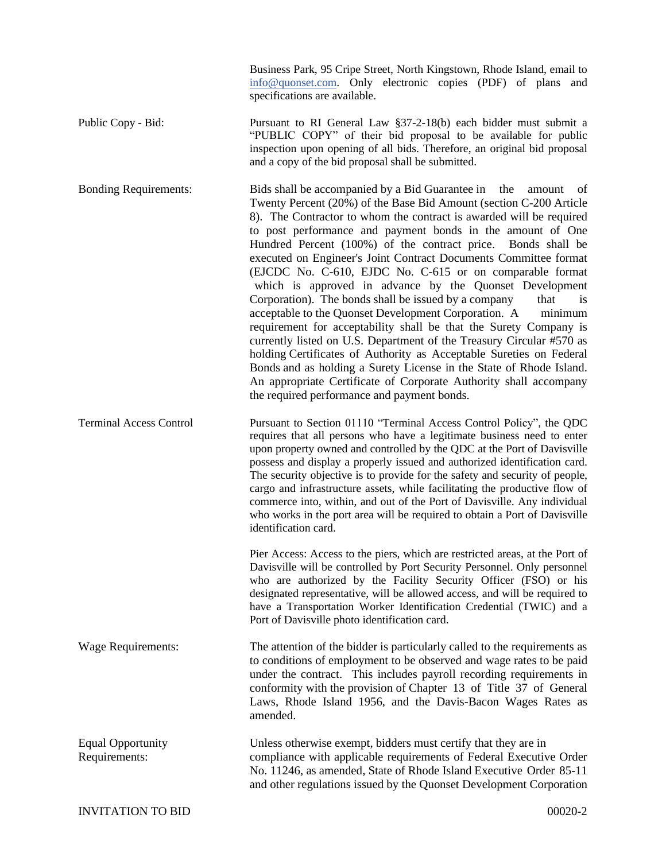Business Park, 95 Cripe Street, North Kingstown, Rhode Island, email to info@quonset.com. Only electronic copies (PDF) of plans and specifications are available.

Public Copy - Bid: Pursuant to RI General Law §37-2-18(b) each bidder must submit a "PUBLIC COPY" of their bid proposal to be available for public inspection upon opening of all bids. Therefore, an original bid proposal and a copy of the bid proposal shall be submitted.

Bonding Requirements: Bids shall be accompanied by a Bid Guarantee in the amount of Twenty Percent (20%) of the Base Bid Amount (section C-200 Article 8). The Contractor to whom the contract is awarded will be required to post performance and payment bonds in the amount of One Hundred Percent (100%) of the contract price. Bonds shall be executed on Engineer's Joint Contract Documents Committee format (EJCDC No. C-610, EJDC No. C-615 or on comparable format which is approved in advance by the Quonset Development Corporation). The bonds shall be issued by a company that is acceptable to the Quonset Development Corporation. A minimum requirement for acceptability shall be that the Surety Company is currently listed on U.S. Department of the Treasury Circular #570 as holding Certificates of Authority as Acceptable Sureties on Federal Bonds and as holding a Surety License in the State of Rhode Island. An appropriate Certificate of Corporate Authority shall accompany the required performance and payment bonds.

Terminal Access Control Pursuant to Section 01110 "Terminal Access Control Policy", the QDC requires that all persons who have a legitimate business need to enter upon property owned and controlled by the QDC at the Port of Davisville possess and display a properly issued and authorized identification card. The security objective is to provide for the safety and security of people, cargo and infrastructure assets, while facilitating the productive flow of commerce into, within, and out of the Port of Davisville. Any individual who works in the port area will be required to obtain a Port of Davisville identification card.

> Pier Access: Access to the piers, which are restricted areas, at the Port of Davisville will be controlled by Port Security Personnel. Only personnel who are authorized by the Facility Security Officer (FSO) or his designated representative, will be allowed access, and will be required to have a Transportation Worker Identification Credential (TWIC) and a Port of Davisville photo identification card.

Wage Requirements: The attention of the bidder is particularly called to the requirements as to conditions of employment to be observed and wage rates to be paid under the contract. This includes payroll recording requirements in conformity with the provision of Chapter 13 of Title 37 of General Laws, Rhode Island 1956, and the Davis-Bacon Wages Rates as amended.

Equal Opportunity Unless otherwise exempt, bidders must certify that they are in Requirements: compliance with applicable requirements of Federal Executive Order No. 11246, as amended, State of Rhode Island Executive Order 85-11 and other regulations issued by the Quonset Development Corporation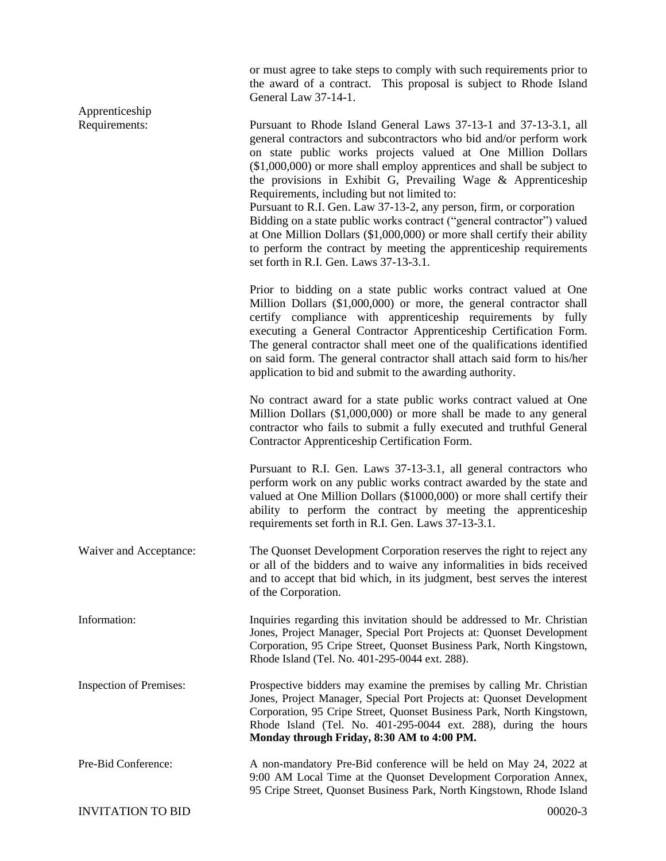or must agree to take steps to comply with such requirements prior to the award of a contract. This proposal is subject to Rhode Island General Law 37-14-1. Apprenticeship Requirements: Pursuant to Rhode Island General Laws 37-13-1 and 37-13-3.1, all general contractors and subcontractors who bid and/or perform work on state public works projects valued at One Million Dollars (\$1,000,000) or more shall employ apprentices and shall be subject to the provisions in Exhibit G, Prevailing Wage & Apprenticeship Requirements, including but not limited to: Pursuant to R.I. Gen. Law 37-13-2, any person, firm, or corporation Bidding on a state public works contract ("general contractor") valued at One Million Dollars (\$1,000,000) or more shall certify their ability to perform the contract by meeting the apprenticeship requirements set forth in R.I. Gen. Laws 37-13-3.1. Prior to bidding on a state public works contract valued at One Million Dollars (\$1,000,000) or more, the general contractor shall certify compliance with apprenticeship requirements by fully executing a General Contractor Apprenticeship Certification Form. The general contractor shall meet one of the qualifications identified on said form. The general contractor shall attach said form to his/her application to bid and submit to the awarding authority. No contract award for a state public works contract valued at One Million Dollars (\$1,000,000) or more shall be made to any general contractor who fails to submit a fully executed and truthful General Contractor Apprenticeship Certification Form. Pursuant to R.I. Gen. Laws 37-13-3.1, all general contractors who perform work on any public works contract awarded by the state and valued at One Million Dollars (\$1000,000) or more shall certify their ability to perform the contract by meeting the apprenticeship requirements set forth in R.I. Gen. Laws 37-13-3.1. Waiver and Acceptance: The Quonset Development Corporation reserves the right to reject any or all of the bidders and to waive any informalities in bids received and to accept that bid which, in its judgment, best serves the interest of the Corporation. Information: Inquiries regarding this invitation should be addressed to Mr. Christian Jones, Project Manager, Special Port Projects at: Quonset Development Corporation, 95 Cripe Street, Quonset Business Park, North Kingstown, Rhode Island (Tel. No. 401-295-0044 ext. 288). Inspection of Premises: Prospective bidders may examine the premises by calling Mr. Christian Jones, Project Manager, Special Port Projects at: Quonset Development Corporation, 95 Cripe Street, Quonset Business Park, North Kingstown, Rhode Island (Tel. No. 401-295-0044 ext. 288), during the hours **Monday through Friday, 8:30 AM to 4:00 PM.** Pre-Bid Conference: A non-mandatory Pre-Bid conference will be held on May 24, 2022 at 9:00 AM Local Time at the Quonset Development Corporation Annex, 95 Cripe Street, Quonset Business Park, North Kingstown, Rhode Island